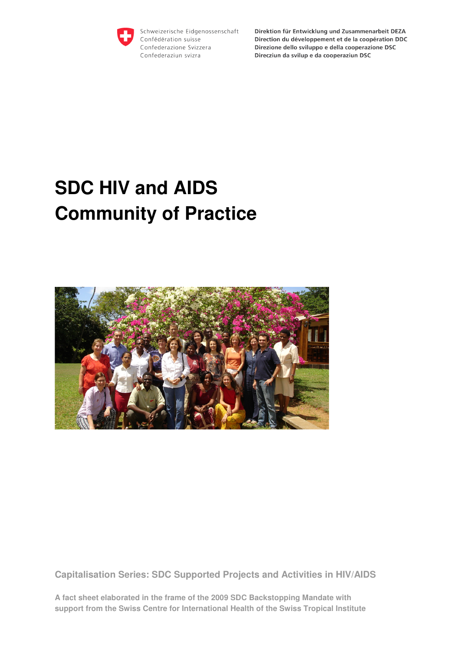

Schweizerische Eidgenossenschaft Confédération suisse Confederazione Svizzera Confederaziun svizra

Direktion für Entwicklung und Zusammenarbeit DEZA Direction du développement et de la coopération DDC Direzione dello sviluppo e della cooperazione DSC Direcziun da svilup e da cooperaziun DSC

# **SDC HIV and AIDS Community of Practice**



**Capitalisation Series: SDC Supported Projects and Activities in HIV/AIDS** 

**A fact sheet elaborated in the frame of the 2009 SDC Backstopping Mandate with support from the Swiss Centre for International Health of the Swiss Tropical Institute**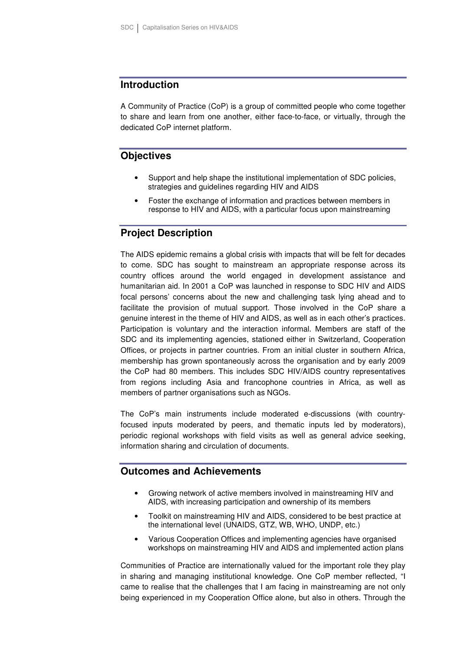#### **Introduction**

A Community of Practice (CoP) is a group of committed people who come together to share and learn from one another, either face-to-face, or virtually, through the dedicated CoP internet platform.

# **Objectives**

- Support and help shape the institutional implementation of SDC policies, strategies and guidelines regarding HIV and AIDS
- Foster the exchange of information and practices between members in response to HIV and AIDS, with a particular focus upon mainstreaming

# **Project Description**

The AIDS epidemic remains a global crisis with impacts that will be felt for decades to come. SDC has sought to mainstream an appropriate response across its country offices around the world engaged in development assistance and humanitarian aid. In 2001 a CoP was launched in response to SDC HIV and AIDS focal persons' concerns about the new and challenging task lying ahead and to facilitate the provision of mutual support. Those involved in the CoP share a genuine interest in the theme of HIV and AIDS, as well as in each other's practices. Participation is voluntary and the interaction informal. Members are staff of the SDC and its implementing agencies, stationed either in Switzerland, Cooperation Offices, or projects in partner countries. From an initial cluster in southern Africa, membership has grown spontaneously across the organisation and by early 2009 the CoP had 80 members. This includes SDC HIV/AIDS country representatives from regions including Asia and francophone countries in Africa, as well as members of partner organisations such as NGOs.

The CoP's main instruments include moderated e-discussions (with countryfocused inputs moderated by peers, and thematic inputs led by moderators), periodic regional workshops with field visits as well as general advice seeking, information sharing and circulation of documents.

## **Outcomes and Achievements**

- Growing network of active members involved in mainstreaming HIV and AIDS, with increasing participation and ownership of its members
- Toolkit on mainstreaming HIV and AIDS, considered to be best practice at the international level (UNAIDS, GTZ, WB, WHO, UNDP, etc.)
- Various Cooperation Offices and implementing agencies have organised workshops on mainstreaming HIV and AIDS and implemented action plans

Communities of Practice are internationally valued for the important role they play in sharing and managing institutional knowledge. One CoP member reflected, "I came to realise that the challenges that I am facing in mainstreaming are not only being experienced in my Cooperation Office alone, but also in others. Through the